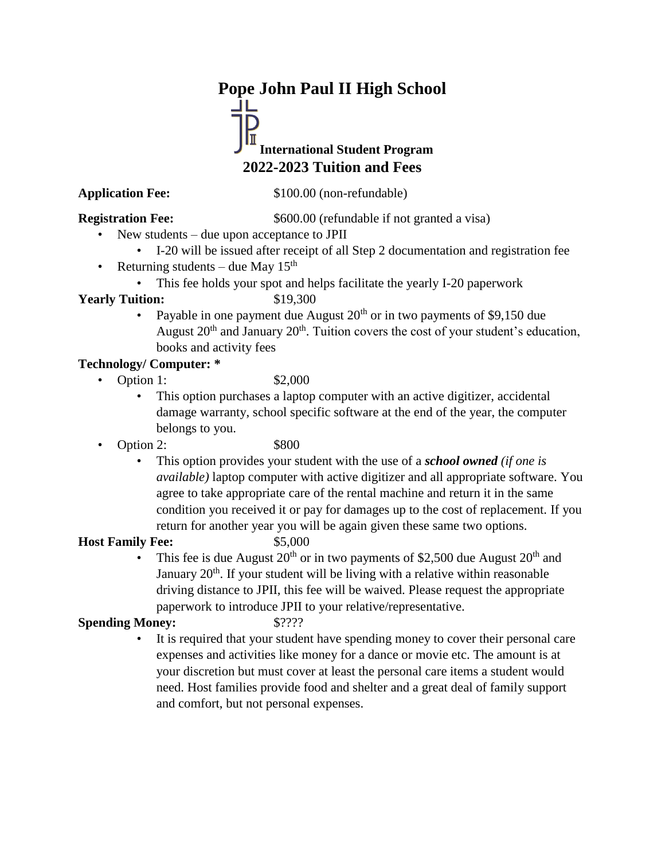# **Pope John Paul II High School**

## **International Student Program 2022-2023 Tuition and Fees**

**Application Fee:** \$100.00 (non-refundable)

**Registration Fee:** \$600.00 (refundable if not granted a visa)

- New students due upon acceptance to JPII
	- I-20 will be issued after receipt of all Step 2 documentation and registration fee
- Returning students due May  $15<sup>th</sup>$

This fee holds your spot and helps facilitate the yearly I-20 paperwork

### **Yearly Tuition:** \$19,300

• Payable in one payment due August  $20<sup>th</sup>$  or in two payments of \$9,150 due August  $20<sup>th</sup>$  and January  $20<sup>th</sup>$ . Tuition covers the cost of your student's education, books and activity fees

### **Technology/ Computer: \***

• Option 1: \$2,000

- This option purchases a laptop computer with an active digitizer, accidental damage warranty, school specific software at the end of the year, the computer belongs to you.
- Option 2: \$800
	-
	- This option provides your student with the use of a *school owned (if one is available)* laptop computer with active digitizer and all appropriate software. You agree to take appropriate care of the rental machine and return it in the same condition you received it or pay for damages up to the cost of replacement. If you return for another year you will be again given these same two options.

### **Host Family Fee:** \$5,000

- 
- This fee is due August  $20<sup>th</sup>$  or in two payments of \$2,500 due August  $20<sup>th</sup>$  and January 20<sup>th</sup>. If your student will be living with a relative within reasonable driving distance to JPII, this fee will be waived. Please request the appropriate paperwork to introduce JPII to your relative/representative.

### **Spending Money:** \$????

It is required that your student have spending money to cover their personal care expenses and activities like money for a dance or movie etc. The amount is at your discretion but must cover at least the personal care items a student would need. Host families provide food and shelter and a great deal of family support and comfort, but not personal expenses.